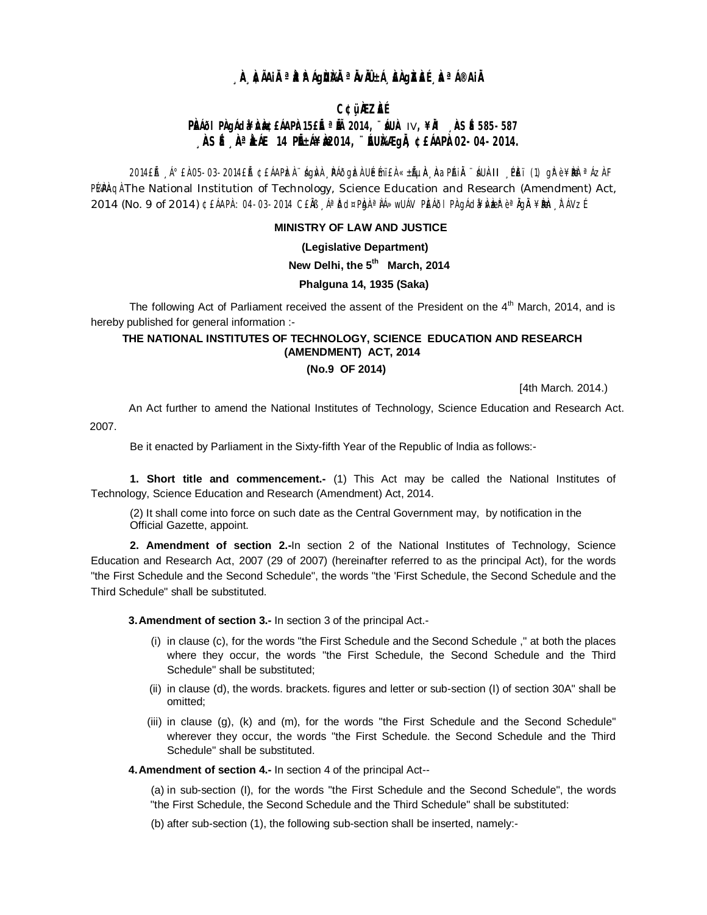# **À ÀIAIRªAAIGBRA® A' LIA AGALE ÀªI®AIR**

## **C¢üÀZÀÉ**

# PRAIOI PADÁCIAHA AGREARPAISE É ª LA 2014, "AUA IV, ¥RI ASÉ 585-587 **ASÉ A AALE 14 PIELÁ¥ÈRO14, "EU)AAE GIA ¢EÁAPÀO2-04-2014.**

2014 EA (1) grè¥kbe 2014 EA CEAPLEA Agivi PAOgLEA UE mi EA «±hun Anaplant Aunti PET (1) grè¥kbe <sup>a</sup> Azi F PuPAgl The National Institution of Technology, Science Education and Research (Amendment) Act, 2014 (No. 9 of 2014) ¢£ÁAPA: 04-03-2014 C£ĂB AªĎd¤PbAªÀÁ»wUÁV PĚÁÖI PÀ gÁd¥ÁVbER è ªÄGÄ ¥BHD TAVZÍ

## **MINISTRY OF LAW AND JUSTICE**

(Legislative Department)

## New Delhi, the 5<sup>th</sup> March, 2014

## Phalquna 14, 1935 (Saka)

The following Act of Parliament received the assent of the President on the 4<sup>th</sup> March, 2014, and is hereby published for general information :-

## THE NATIONAL INSTITUTES OF TECHNOLOGY, SCIENCE EDUCATION AND RESEARCH (AMENDMENT) ACT, 2014 (No.9 OF 2014)

[4th March. 2014.)

An Act further to amend the National Institutes of Technology, Science Education and Research Act.

2007.

Be it enacted by Parliament in the Sixty-fifth Year of the Republic of India as follows:-

1. Short title and commencement.- (1) This Act may be called the National Institutes of Technology, Science Education and Research (Amendment) Act, 2014.

(2) It shall come into force on such date as the Central Government may, by notification in the Official Gazette, appoint.

2. Amendment of section 2.-In section 2 of the National Institutes of Technology, Science Education and Research Act, 2007 (29 of 2007) (hereinafter referred to as the principal Act), for the words "the First Schedule and the Second Schedule", the words "the 'First Schedule, the Second Schedule and the Third Schedule" shall be substituted.

3. Amendment of section 3.- In section 3 of the principal Act.-

- (i) in clause (c), for the words "the First Schedule and the Second Schedule," at both the places where they occur, the words "the First Schedule, the Second Schedule and the Third Schedule" shall be substituted;
- (ii) in clause (d), the words. brackets. figures and letter or sub-section (I) of section 30A" shall be omitted:
- (iii) in clause (q), (k) and (m), for the words "the First Schedule and the Second Schedule" wherever they occur, the words "the First Schedule. the Second Schedule and the Third Schedule" shall be substituted.

4. Amendment of section 4.- In section 4 of the principal Act--

(a) in sub-section (I), for the words "the First Schedule and the Second Schedule", the words "the First Schedule, the Second Schedule and the Third Schedule" shall be substituted:

(b) after sub-section (1), the following sub-section shall be inserted, namely:-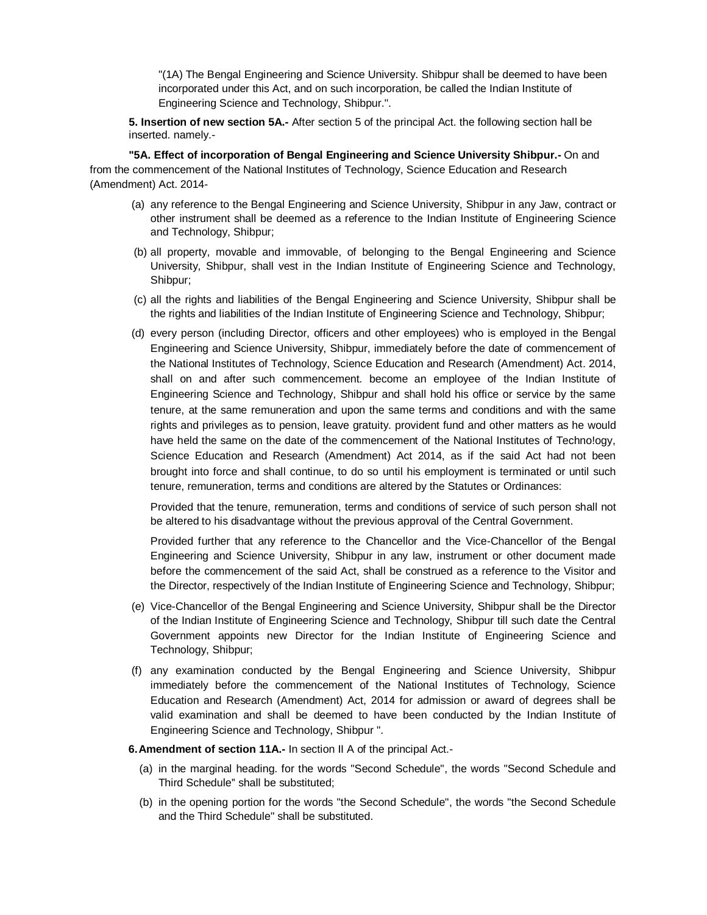"(1A) The Bengal Engineering and Science University. Shibpur shall be deemed to have been incorporated under this Act, and on such incorporation, be called the Indian Institute of Engineering Science and Technology, Shibpur.".

**5. Insertion of new section 5A.-** After section 5 of the principal Act. the following section hall be inserted. namely.-

**"5A. Effect of incorporation of Bengal Engineering and Science University Shibpur.-** On and from the commencement of the National Institutes of Technology, Science Education and Research (Amendment) Act. 2014-

- (a) any reference to the Bengal Engineering and Science University, Shibpur in any Jaw, contract or other instrument shall be deemed as a reference to the Indian Institute of Engineering Science and Technology, Shibpur;
- (b) all property, movable and immovable, of belonging to the Bengal Engineering and Science University, Shibpur, shall vest in the Indian Institute of Engineering Science and Technology, Shibpur;
- (c) all the rights and liabilities of the Bengal Engineering and Science University, Shibpur shall be the rights and liabilities of the Indian Institute of Engineering Science and Technology, Shibpur;
- (d) every person (including Director, officers and other employees) who is employed in the Bengal Engineering and Science University, Shibpur, immediately before the date of commencement of the National Institutes of Technology, Science Education and Research (Amendment) Act. 2014, shall on and after such commencement. become an employee of the Indian Institute of Engineering Science and Technology, Shibpur and shall hold his office or service by the same tenure, at the same remuneration and upon the same terms and conditions and with the same rights and privileges as to pension, leave gratuity. provident fund and other matters as he would have held the same on the date of the commencement of the National Institutes of Techno!ogy, Science Education and Research (Amendment) Act 2014, as if the said Act had not been brought into force and shall continue, to do so until his employment is terminated or until such tenure, remuneration, terms and conditions are altered by the Statutes or Ordinances:

Provided that the tenure, remuneration, terms and conditions of service of such person shall not be altered to his disadvantage without the previous approval of the Central Government.

Provided further that any reference to the Chancellor and the Vice-Chancellor of the BengaI Engineering and Science University, Shibpur in any law, instrument or other document made before the commencement of the said Act, shall be construed as a reference to the Visitor and the Director, respectively of the Indian Institute of Engineering Science and Technology, Shibpur;

- (e) Vice-Chancellor of the Bengal Engineering and Science University, Shibpur shall be the Director of the Indian Institute of Engineering Science and Technology, Shibpur till such date the Central Government appoints new Director for the Indian Institute of Engineering Science and Technology, Shibpur;
- (f) any examination conducted by the Bengal Engineering and Science University, Shibpur immediately before the commencement of the National Institutes of Technology, Science Education and Research (Amendment) Act, 2014 for admission or award of degrees shall be valid examination and shall be deemed to have been conducted by the Indian Institute of Engineering Science and Technology, Shibpur ".
- **6.Amendment of section 11A.-** In section II A of the principal Act.-
	- (a) in the marginal heading. for the words "Second Schedule", the words "Second Schedule and Third Schedule'' shall be substituted;
	- (b) in the opening portion for the words "the Second Schedule", the words "the Second Schedule and the Third Schedule" shall be substituted.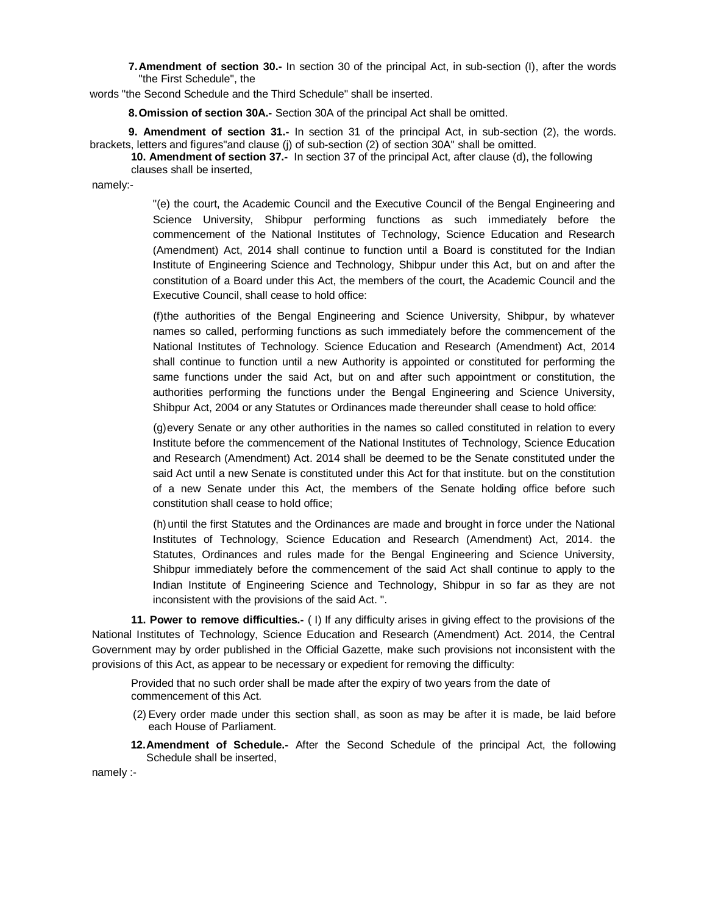**7.Amendment of section 30.-** In section 30 of the principal Act, in sub-section (I), after the words "the First Schedule", the

words "the Second Schedule and the Third Schedule" shall be inserted.

**8.Omission of section 30A.-** Section 30A of the principal Act shall be omitted.

**9. Amendment of section 31.-** In section 31 of the principal Act, in sub-section (2), the words. brackets, letters and figures"and clause (j) of sub-section (2) of section 30A" shall be omitted.

**10. Amendment of section 37.-** In section 37 of the principal Act, after clause (d), the following

clauses shall be inserted,

namely:-

"(e) the court, the Academic Council and the Executive Council of the Bengal Engineering and Science University, Shibpur performing functions as such immediately before the commencement of the National Institutes of Technology, Science Education and Research (Amendment) Act, 2014 shall continue to function until a Board is constituted for the Indian Institute of Engineering Science and Technology, Shibpur under this Act, but on and after the constitution of a Board under this Act, the members of the court, the Academic Council and the Executive Council, shall cease to hold office:

(f)the authorities of the Bengal Engineering and Science University, Shibpur, by whatever names so called, performing functions as such immediately before the commencement of the National Institutes of Technology. Science Education and Research (Amendment) Act, 2014 shall continue to function until a new Authority is appointed or constituted for performing the same functions under the said Act, but on and after such appointment or constitution, the authorities performing the functions under the Bengal Engineering and Science University, Shibpur Act, 2004 or any Statutes or Ordinances made thereunder shall cease to hold office:

(g)every Senate or any other authorities in the names so called constituted in relation to every Institute before the commencement of the National Institutes of Technology, Science Education and Research (Amendment) Act. 2014 shall be deemed to be the Senate constituted under the said Act until a new Senate is constituted under this Act for that institute. but on the constitution of a new Senate under this Act, the members of the Senate holding office before such constitution shall cease to hold office;

(h) until the first Statutes and the Ordinances are made and brought in force under the National Institutes of Technology, Science Education and Research (Amendment) Act, 2014. the Statutes, Ordinances and rules made for the Bengal Engineering and Science University, Shibpur immediately before the commencement of the said Act shall continue to apply to the Indian Institute of Engineering Science and Technology, Shibpur in so far as they are not inconsistent with the provisions of the said Act. ".

**11. Power to remove difficulties.-** ( I) If any difficulty arises in giving effect to the provisions of the National Institutes of Technology, Science Education and Research (Amendment) Act. 2014, the Central Government may by order published in the Official Gazette, make such provisions not inconsistent with the provisions of this Act, as appear to be necessary or expedient for removing the difficulty:

Provided that no such order shall be made after the expiry of two years from the date of commencement of this Act.

- (2) Every order made under this section shall, as soon as may be after it is made, be laid before each House of Parliament.
- **12.Amendment of Schedule.-** After the Second Schedule of the principal Act, the following Schedule shall be inserted,

namely :-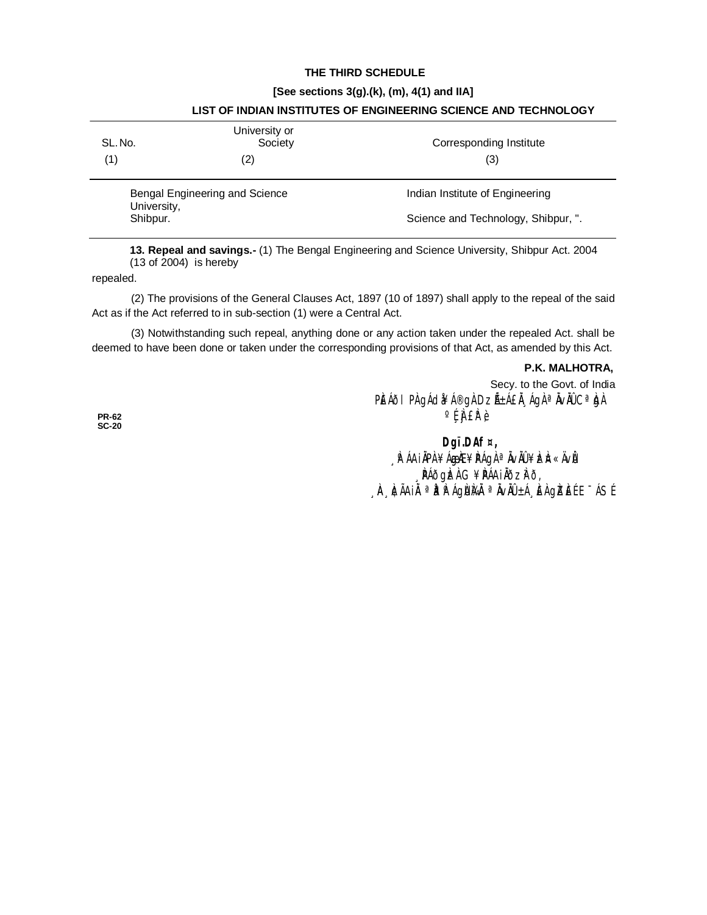## THE THIRD SCHEDULE

#### [See sections 3(g).(k), (m), 4(1) and IIA]

| SL. No.                        | University or<br>Society | Corresponding Institute             |
|--------------------------------|--------------------------|-------------------------------------|
|                                |                          |                                     |
| (1)                            | (2)                      | (3)                                 |
| Bengal Engineering and Science |                          | Indian Institute of Engineering     |
| University,<br>Shibpur.        |                          | Science and Technology, Shibpur, ". |

## LIST OF INDIAN INSTITUTES OF ENGINEERING SCIENCE AND TECHNOLOGY

13. Repeal and savings.- (1) The Bengal Engineering and Science University, Shibpur Act. 2004  $(13$  of 2004) is hereby

repealed.

(2) The provisions of the General Clauses Act, 1897 (10 of 1897) shall apply to the repeal of the said Act as if the Act referred to in sub-section (1) were a Central Act.

(3) Notwithstanding such repeal, anything done or any action taken under the repealed Act. shall be deemed to have been done or taken under the corresponding provisions of that Act, as amended by this Act.

## P.K. MALHOTRA,

Secy. to the Govt. of India PEÁÕI PÀ gÁd¥Á®gÀ DZñÁ£Ă ÁgÀ ª ÄvÄÛ Cª bJÀ  $^{\circ}$ fiffè

**PR-62**  $SC-20$ 

> Dgï.DAf¤, <sub>→</sub> P ÁA IÄPA ¥Á<del>GÆ</del>¥PÁGA ª Ä∨ÄÛ ¥ÈZÞ «Ä∨Ů PÁðgizi G¥PÁA I Iðzi?ð, A ACAIN <sup>a</sup> P P AGNIA <sup>a</sup> NVN ±A E AGIZEL E ASL